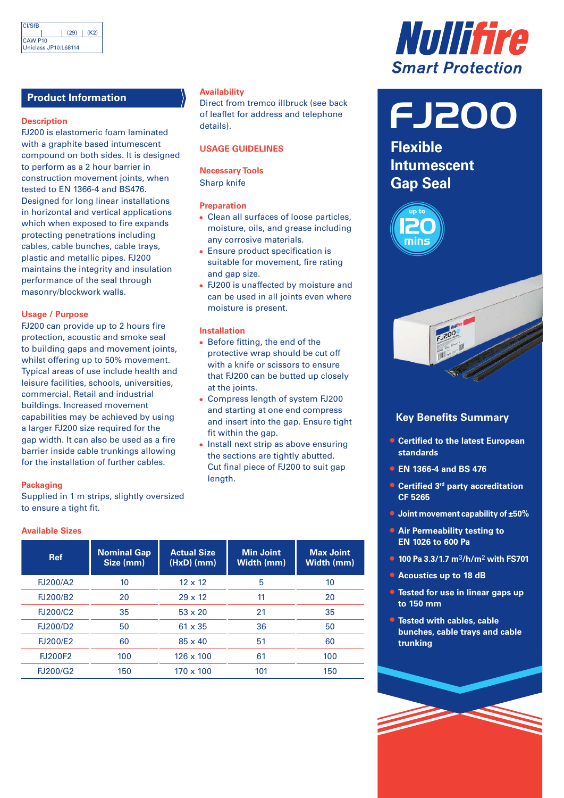# **Product Information**

## **Description**

FJ200 is elastomeric foam laminated with a graphite based intumescent compound on both sides. It is designed to perform as a 2 hour barrier in construction movement joints, when tested to EN 1366-4 and BS476. Designed for long linear installations in horizontal and vertical applications which when exposed to fire expands protecting penetrations including cables, cable bunches, cable trays, plastic and metallic pipes. FJ200 maintains the integrity and insulation performance of the seal through masonry/blockwork walls.

# **Usage / Purpose**

FJ200 can provide up to 2 hours fire protection, acoustic and smoke seal to building gaps and movement joints, whilst offering up to 50% movement. Typical areas of use include health and leisure facilities, schools, universities, commercial. Retail and industrial buildings. Increased movement capabilities may be achieved by using a larger FJ200 size required for the gap width. It can also be used as a fire barrier inside cable trunkings allowing for the installation of further cables.

### **Packaging**

Supplied in 1 m strips, slightly oversized to ensure a tight fit.

## **Available Sizes**

| <b>Ref</b>      | <b>Nominal Gap</b><br>Size (mm) | <b>Actual Size</b><br>(HxD) (mm) | <b>Min Joint</b><br>Width (mm) | <b>Max Joint</b><br>Width (mm) |
|-----------------|---------------------------------|----------------------------------|--------------------------------|--------------------------------|
| FJ200/A2        | 10                              | $12 \times 12$                   | 5                              | 10                             |
| <b>FJ200/B2</b> | 20                              | $29 \times 12$                   | 11                             | 20                             |
| <b>FJ200/C2</b> | 35                              | $53 \times 20$                   | 21                             | 35                             |
| <b>FJ200/D2</b> | 50                              | $61 \times 35$                   | 36                             | 50                             |
| <b>FJ200/E2</b> | 60                              | $85 \times 40$                   | 51                             | 60                             |
| <b>FJ200F2</b>  | 100                             | $126 \times 100$                 | 61                             | 100                            |
| <b>FJ200/G2</b> | 150                             | $170 \times 100$                 | 101                            | 150                            |

# **Availability**

Direct from tremco illbruck (see back of leaflet for address and telephone details).

# **USAGE GUIDELINES**

**Necessary Tools** Sharp knife

# **Preparation**

- **•** Clean all surfaces of loose particles, moisture, oils, and grease including any corrosive materials.
- **•** Ensure product specification is suitable for movement, fire rating and gap size.
- **•** FJ200 is unaffected by moisture and can be used in all joints even where moisture is present.

### **Installation**

- **•** Before fitting, the end of the protective wrap should be cut off with a knife or scissors to ensure that FJ200 can be butted up closely at the joints.
- **•** Compress length of system FJ200 and starting at one end compress and insert into the gap. Ensure tight fit within the gap.
- **•** Install next strip as above ensuring the sections are tightly abutted. Cut final piece of FJ200 to suit gap length.



FJ200

**Flexible Intumescent Gap Seal**





# **Key Benefits Summary**

- **• Certified to the latest European standards**
- **• EN 1366-4 and BS 476**
- **• Certified 3rd party accreditation CF 5265**
- **• Joint movement capability of ±50%**
- **• Air Permeability testing to EN 1026 to 600 Pa**
- **• 100 Pa 3.3/1.7 m**3**/h/m**2 **with FS701**
- **• Acoustics up to 18 dB**
- **• Tested for use in linear gaps up to 150 mm**
- **• Tested with cables, cable bunches, cable trays and cable trunking**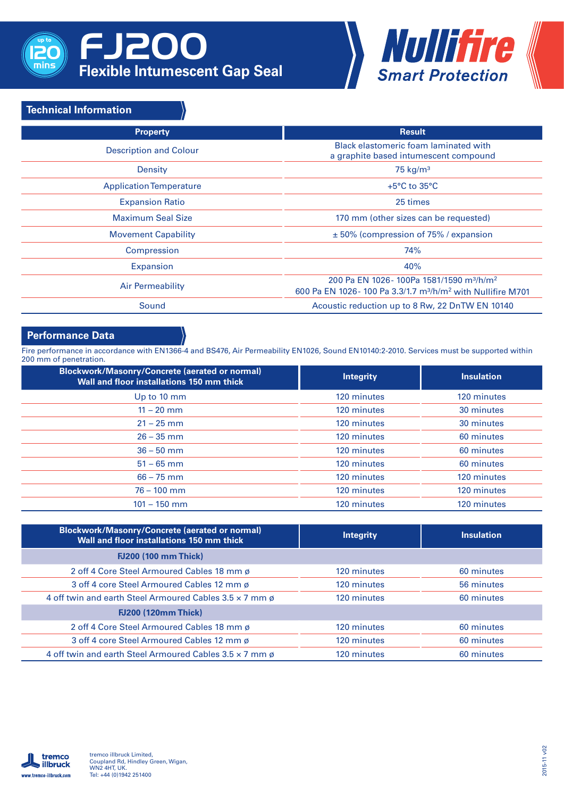

# FJ200 **Flexible Intumescent Gap Seal**



# **Technical Information**

| <b>Property</b>                | <b>Result</b>                                                                                                                                           |  |
|--------------------------------|---------------------------------------------------------------------------------------------------------------------------------------------------------|--|
| <b>Description and Colour</b>  | Black elastomeric foam laminated with<br>a graphite based intumescent compound                                                                          |  |
| Density                        | 75 $kg/m3$                                                                                                                                              |  |
| <b>Application Temperature</b> | $+5^{\circ}$ C to 35 $^{\circ}$ C                                                                                                                       |  |
| <b>Expansion Ratio</b>         | 25 times                                                                                                                                                |  |
| <b>Maximum Seal Size</b>       | 170 mm (other sizes can be requested)                                                                                                                   |  |
| <b>Movement Capability</b>     | $\pm$ 50% (compression of 75% / expansion                                                                                                               |  |
| Compression                    | 74%                                                                                                                                                     |  |
| Expansion                      | 40%                                                                                                                                                     |  |
| <b>Air Permeability</b>        | 200 Pa EN 1026 - 100Pa 1581/1590 m <sup>3</sup> /h/m <sup>2</sup><br>600 Pa EN 1026-100 Pa 3.3/1.7 m <sup>3</sup> /h/m <sup>2</sup> with Nullifire M701 |  |
| Sound                          | Acoustic reduction up to 8 Rw, 22 DnTW EN 10140                                                                                                         |  |

# **Performance Data**

Fire performance in accordance with EN1366-4 and BS476, Air Permeability EN1026, Sound EN10140:2-2010. Services must be supported within 200 mm of penetration.

| <b>Blockwork/Masonry/Concrete (aerated or normal)</b><br>Wall and floor installations 150 mm thick | <b>Integrity</b> | <b>Insulation</b> |
|----------------------------------------------------------------------------------------------------|------------------|-------------------|
| Up to 10 mm                                                                                        | 120 minutes      | 120 minutes       |
| $11 - 20$ mm                                                                                       | 120 minutes      | 30 minutes        |
| $21 - 25$ mm                                                                                       | 120 minutes      | 30 minutes        |
| $26 - 35$ mm                                                                                       | 120 minutes      | 60 minutes        |
| $36 - 50$ mm                                                                                       | 120 minutes      | 60 minutes        |
| $51 - 65$ mm                                                                                       | 120 minutes      | 60 minutes        |
| $66 - 75$ mm                                                                                       | 120 minutes      | 120 minutes       |
| $76 - 100$ mm                                                                                      | 120 minutes      | 120 minutes       |
| $101 - 150$ mm                                                                                     | 120 minutes      | 120 minutes       |

| <b>Blockwork/Masonry/Concrete (aerated or normal)</b><br>Wall and floor installations 150 mm thick | <b>Integrity</b> | <b>Insulation</b> |
|----------------------------------------------------------------------------------------------------|------------------|-------------------|
| <b>FJ200 (100 mm Thick)</b>                                                                        |                  |                   |
| 2 off 4 Core Steel Armoured Cables 18 mm ø                                                         | 120 minutes      | 60 minutes        |
| 3 off 4 core Steel Armoured Cables 12 mm ø                                                         | 120 minutes      | 56 minutes        |
| 4 off twin and earth Steel Armoured Cables 3.5 x 7 mm ø                                            | 120 minutes      | 60 minutes        |
| <b>FJ200 (120mm Thick)</b>                                                                         |                  |                   |
| 2 off 4 Core Steel Armoured Cables 18 mm ø                                                         | 120 minutes      | 60 minutes        |
| 3 off 4 core Steel Armoured Cables 12 mm ø                                                         | 120 minutes      | 60 minutes        |
| 4 off twin and earth Steel Armoured Cables 3.5 x 7 mm ø                                            | 120 minutes      | 60 minutes        |